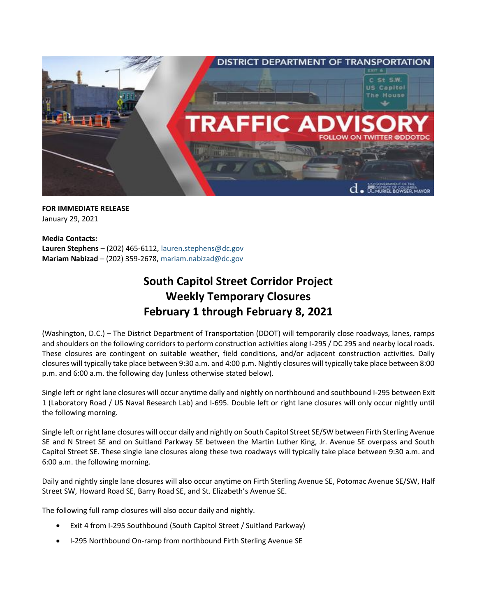

**FOR IMMEDIATE RELEASE** January 29, 2021

**Media Contacts: Lauren Stephens** – (202) 465-6112, [lauren.stephens@dc.gov](mailto:lauren.stephens@dc.gov) **Mariam Nabizad** – (202) 359-2678, [mariam.nabizad@dc.gov](mailto:mariam.nabizad@dc.gov)

## **South Capitol Street Corridor Project Weekly Temporary Closures February 1 through February 8, 2021**

(Washington, D.C.) – The District Department of Transportation (DDOT) will temporarily close roadways, lanes, ramps and shoulders on the following corridors to perform construction activities along I-295 / DC 295 and nearby local roads. These closures are contingent on suitable weather, field conditions, and/or adjacent construction activities. Daily closures will typically take place between 9:30 a.m. and 4:00 p.m. Nightly closures will typically take place between 8:00 p.m. and 6:00 a.m. the following day (unless otherwise stated below).

Single left or right lane closures will occur anytime daily and nightly on northbound and southbound I-295 between Exit 1 (Laboratory Road / US Naval Research Lab) and I-695. Double left or right lane closures will only occur nightly until the following morning.

Single left or right lane closures will occur daily and nightly on South Capitol Street SE/SW between Firth Sterling Avenue SE and N Street SE and on Suitland Parkway SE between the Martin Luther King, Jr. Avenue SE overpass and South Capitol Street SE. These single lane closures along these two roadways will typically take place between 9:30 a.m. and 6:00 a.m. the following morning.

Daily and nightly single lane closures will also occur anytime on Firth Sterling Avenue SE, Potomac Avenue SE/SW, Half Street SW, Howard Road SE, Barry Road SE, and St. Elizabeth's Avenue SE.

The following full ramp closures will also occur daily and nightly.

- Exit 4 from I-295 Southbound (South Capitol Street / Suitland Parkway)
- I-295 Northbound On-ramp from northbound Firth Sterling Avenue SE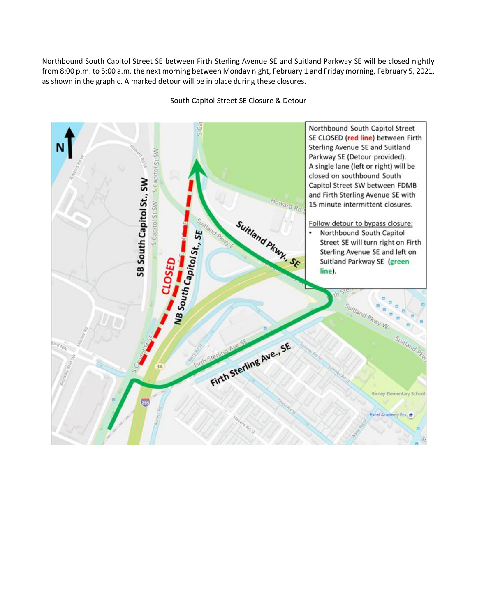Northbound South Capitol Street SE between Firth Sterling Avenue SE and Suitland Parkway SE will be closed nightly from 8:00 p.m. to 5:00 a.m. the next morning between Monday night, February 1 and Friday morning, February 5, 2021, as shown in the graphic. A marked detour will be in place during these closures.

Northbound South Capitol Street SE CLOSED (red line) between Firth Sterling Avenue SE and Suitland S Capitol St SW S Capitol St SW Parkway SE (Detour provided). A single lane (left or right) will be closed on southbound South SB South Capitol St., SW Capitol Street SW between FDMB and Firth Sterling Avenue SE with Howard Rd 15 minute intermittent closures. Suitland Pkwy. SF Follow detour to bypass closure: NB South Capitol St., SE Northbound South Capitol . Street SE will turn right on Firth Sterling Avenue SE and left on Suitland Parkway SE (green line). Suitland PH Firth Sterling Ave., SE Birney Elementary School Excel Academy Pcs

South Capitol Street SE Closure & Detour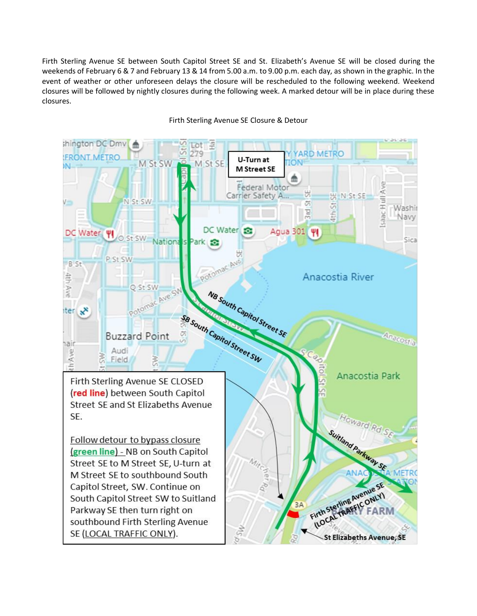Firth Sterling Avenue SE between South Capitol Street SE and St. Elizabeth's Avenue SE will be closed during the weekends of February 6 & 7 and February 13 & 14 from 5.00 a.m. to 9.00 p.m. each day, as shown in the graphic. In the event of weather or other unforeseen delays the closure will be rescheduled to the following weekend. Weekend closures will be followed by nightly closures during the following week. A marked detour will be in place during these closures.

shington DC Dmv Lot  $\frac{\pi}{2}$ 79 **ARD METRO FRONT ME** U-Turn at M St SW M St SE IN. **M** Street SE saac Hull Ave Federal Moto 说 Carrier Safety A W N St SE  $V_{\rm{min}}$ N St SW 5 5 Washir 3 icl 415 Navy DC Water ÷ Agua 301 | W DC Water ΨI O St SW Sica Nationa Park <sub>13</sub> P St SW B St 4th Ave poto Anacostia River Q St SW NB South Capitol Street SE Potoma ter xx SB South Capitol Street SW Anscosto **Buzzard Point** hair th Ave Audi Field 3 Anacostia Park Firth Sterling Avenue SE CLOSED (red line) between South Capitol Street SE and St Elizabeths Avenue Howard Rd SE. Suitand Parkway SE Follow detour to bypass closure (green line) - NB on South Capitol Street SE to M Street SE, U-turn at M Street SE to southbound South Firth Sterling Avenue SE Capitol Street, SW. Continue on Firth Sterling Avenue ST South Capitol Street SW to Suitland  $3A$ Parkway SE then turn right on FARM

St Elizabeths Avenue, SE

southbound Firth Sterling Avenue

SE (LOCAL TRAFFIC ONLY).

Firth Sterling Avenue SE Closure & Detour